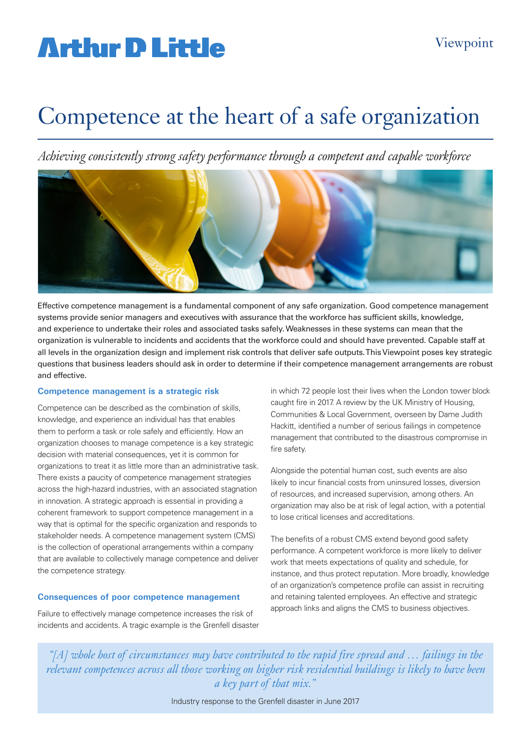# **Artlur D Little**

# Competence at the heart of a safe organization

*Achieving consistently strong safety performance through a competent and capable workforce*



Effective competence management is a fundamental component of any safe organization. Good competence management systems provide senior managers and executives with assurance that the workforce has sufficient skills, knowledge, and experience to undertake their roles and associated tasks safely. Weaknesses in these systems can mean that the organization is vulnerable to incidents and accidents that the workforce could and should have prevented. Capable staff at all levels in the organization design and implement risk controls that deliver safe outputs. This Viewpoint poses key strategic questions that business leaders should ask in order to determine if their competence management arrangements are robust and effective.

### **Competence management is a strategic risk**

Competence can be described as the combination of skills, knowledge, and experience an individual has that enables them to perform a task or role safely and efficiently. How an organization chooses to manage competence is a key strategic decision with material consequences, yet it is common for organizations to treat it as little more than an administrative task. There exists a paucity of competence management strategies across the high-hazard industries, with an associated stagnation in innovation. A strategic approach is essential in providing a coherent framework to support competence management in a way that is optimal for the specific organization and responds to stakeholder needs. A competence management system (CMS) is the collection of operational arrangements within a company that are available to collectively manage competence and deliver the competence strategy.

### **Consequences of poor competence management**

Failure to effectively manage competence increases the risk of incidents and accidents. A tragic example is the Grenfell disaster in which 72 people lost their lives when the London tower block caught fire in 2017. A review by the UK [Ministry of Housing,](https://www.gov.uk/government/organisations/ministry-of-housing-communities-and-local-government)  [Communities & Local Government,](https://www.gov.uk/government/organisations/ministry-of-housing-communities-and-local-government) overseen by Dame Judith Hackitt, identified a number of serious failings in competence management that contributed to the disastrous compromise in fire safety.

Alongside the potential human cost, such events are also likely to incur financial costs from uninsured losses, diversion of resources, and increased supervision, among others. An organization may also be at risk of legal action, with a potential to lose critical licenses and accreditations.

The benefits of a robust CMS extend beyond good safety performance. A competent workforce is more likely to deliver work that meets expectations of quality and schedule, for instance, and thus protect reputation. More broadly, knowledge of an organization's competence profile can assist in recruiting and retaining talented employees. An effective and strategic approach links and aligns the CMS to business objectives.

*"[A] whole host of circumstances may have contributed to the rapid fire spread and … failings in the relevant competences across all those working on higher risk residential buildings is likely to have been a key part of that mix."*

Industry response to the Grenfell disaster in June 2017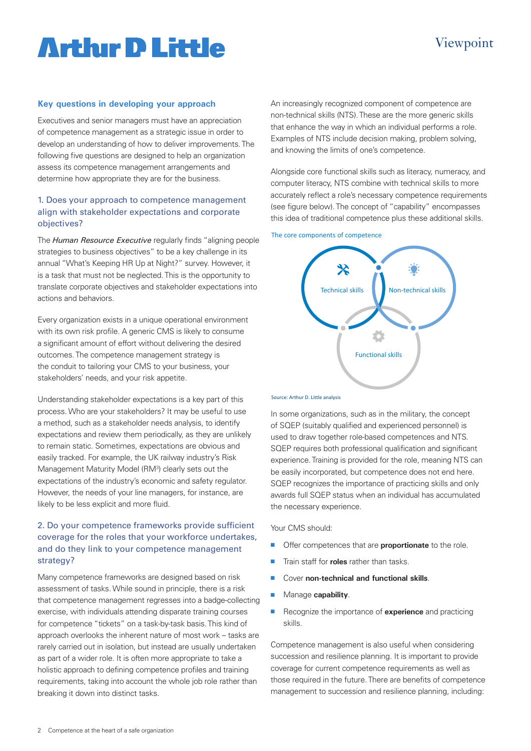# **Artlur D Little**

# Viewpoint

#### **Key questions in developing your approach**

Executives and senior managers must have an appreciation of competence management as a strategic issue in order to develop an understanding of how to deliver improvements. The following five questions are designed to help an organization assess its competence management arrangements and determine how appropriate they are for the business.

### 1. Does your approach to competence management align with stakeholder expectations and corporate objectives?

The *Human Resource Executive* regularly finds "aligning people strategies to business objectives" to be a key challenge in its annual "What's Keeping HR Up at Night?" survey. However, it is a task that must not be neglected. This is the opportunity to translate corporate objectives and stakeholder expectations into actions and behaviors.

Every organization exists in a unique operational environment with its own risk profile. A generic CMS is likely to consume a significant amount of effort without delivering the desired outcomes. The competence management strategy is the conduit to tailoring your CMS to your business, your stakeholders' needs, and your risk appetite.

Understanding stakeholder expectations is a key part of this process. Who are your stakeholders? It may be useful to use a method, such as a stakeholder needs analysis, to identify expectations and review them periodically, as they are unlikely to remain static. Sometimes, expectations are obvious and easily tracked. For example, the UK railway industry's Risk Management Maturity Model (RM<sup>3</sup>) clearly sets out the expectations of the industry's economic and safety regulator. However, the needs of your line managers, for instance, are likely to be less explicit and more fluid.

### 2. Do your competence frameworks provide sufficient coverage for the roles that your workforce undertakes, and do they link to your competence management strategy?

Many competence frameworks are designed based on risk assessment of tasks. While sound in principle, there is a risk that competence management regresses into a badge-collecting exercise, with individuals attending disparate training courses for competence "tickets" on a task-by-task basis. This kind of approach overlooks the inherent nature of most work – tasks are rarely carried out in isolation, but instead are usually undertaken as part of a wider role. It is often more appropriate to take a holistic approach to defining competence profiles and training requirements, taking into account the whole job role rather than breaking it down into distinct tasks.

An increasingly recognized component of competence are non-technical skills (NTS). These are the more generic skills that enhance the way in which an individual performs a role. Examples of NTS include decision making, problem solving, and knowing the limits of one's competence.

Alongside core functional skills such as literacy, numeracy, and computer literacy, NTS combine with technical skills to more accurately reflect a role's necessary competence requirements (see figure below). The concept of "capability" encompasses this idea of traditional competence plus these additional skills.

The core components of competence



Source: Arthur D. Little analysis

In some organizations, such as in the military, the concept of SQEP (suitably qualified and experienced personnel) is used to draw together role-based competences and NTS. SQEP requires both professional qualification and significant experience. Training is provided for the role, meaning NTS can be easily incorporated, but competence does not end here. SQEP recognizes the importance of practicing skills and only awards full SQEP status when an individual has accumulated the necessary experience.

Your CMS should:

- **n** Offer competences that are **proportionate** to the role.
- Train staff for **roles** rather than tasks.
- Cover **non-technical and functional skills**.
- <sup>n</sup> Manage **capability**.
- Recognize the importance of **experience** and practicing skills.

Competence management is also useful when considering succession and resilience planning. It is important to provide coverage for current competence requirements as well as those required in the future. There are benefits of competence management to succession and resilience planning, including: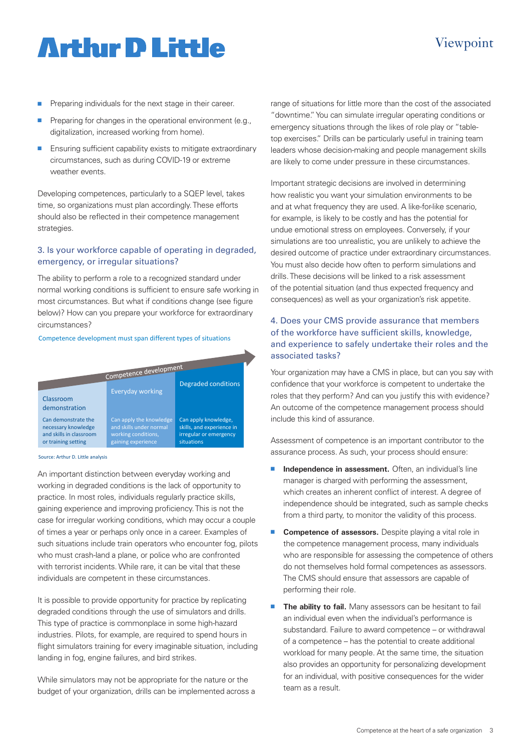## Viewpoint

# **Arthur D Little**

- $\blacksquare$  Preparing individuals for the next stage in their career.
- **Preparing for changes in the operational environment (e.g.,** digitalization, increased working from home).
- **Ensuring sufficient capability exists to mitigate extraordinary** circumstances, such as during COVID-19 or extreme weather events.

Developing competences, particularly to a SQEP level, takes time, so organizations must plan accordingly. These efforts should also be reflected in their competence management strategies.

## 3. Is your workforce capable of operating in degraded, emergency, or irregular situations?

The ability to perform a role to a recognized standard under normal working conditions is sufficient to ensure safe working in most circumstances. But what if conditions change (see figure below)? How can you prepare your workforce for extraordinary circumstances?

#### Competence development must span different types of situations



Source: Arthur D. Little analysis

An important distinction between everyday working and working in degraded conditions is the lack of opportunity to practice. In most roles, individuals regularly practice skills, gaining experience and improving proficiency. This is not the case for irregular working conditions, which may occur a couple of times a year or perhaps only once in a career. Examples of such situations include train operators who encounter fog, pilots who must crash-land a plane, or police who are confronted with terrorist incidents. While rare, it can be vital that these individuals are competent in these circumstances.

It is possible to provide opportunity for practice by replicating degraded conditions through the use of simulators and drills. This type of practice is commonplace in some high-hazard industries. Pilots, for example, are required to spend hours in flight simulators training for every imaginable situation, including landing in fog, engine failures, and bird strikes.

While simulators may not be appropriate for the nature or the budget of your organization, drills can be implemented across a range of situations for little more than the cost of the associated "downtime." You can simulate irregular operating conditions or emergency situations through the likes of role play or "tabletop exercises." Drills can be particularly useful in training team leaders whose decision-making and people management skills are likely to come under pressure in these circumstances.

Important strategic decisions are involved in determining how realistic you want your simulation environments to be and at what frequency they are used. A like-for-like scenario, for example, is likely to be costly and has the potential for undue emotional stress on employees. Conversely, if your simulations are too unrealistic, you are unlikely to achieve the desired outcome of practice under extraordinary circumstances. You must also decide how often to perform simulations and drills. These decisions will be linked to a risk assessment of the potential situation (and thus expected frequency and consequences) as well as your organization's risk appetite.

### 4. Does your CMS provide assurance that members of the workforce have sufficient skills, knowledge, and experience to safely undertake their roles and the associated tasks?

Your organization may have a CMS in place, but can you say with confidence that your workforce is competent to undertake the roles that they perform? And can you justify this with evidence? An outcome of the competence management process should include this kind of assurance.

Assessment of competence is an important contributor to the assurance process. As such, your process should ensure:

- **n Independence in assessment.** Often, an individual's line manager is charged with performing the assessment, which creates an inherent conflict of interest. A degree of independence should be integrated, such as sample checks from a third party, to monitor the validity of this process.
- **Competence of assessors.** Despite playing a vital role in the competence management process, many individuals who are responsible for assessing the competence of others do not themselves hold formal competences as assessors. The CMS should ensure that assessors are capable of performing their role.
- **n** The ability to fail. Many assessors can be hesitant to fail an individual even when the individual's performance is substandard. Failure to award competence – or withdrawal of a competence – has the potential to create additional workload for many people. At the same time, the situation also provides an opportunity for personalizing development for an individual, with positive consequences for the wider team as a result.